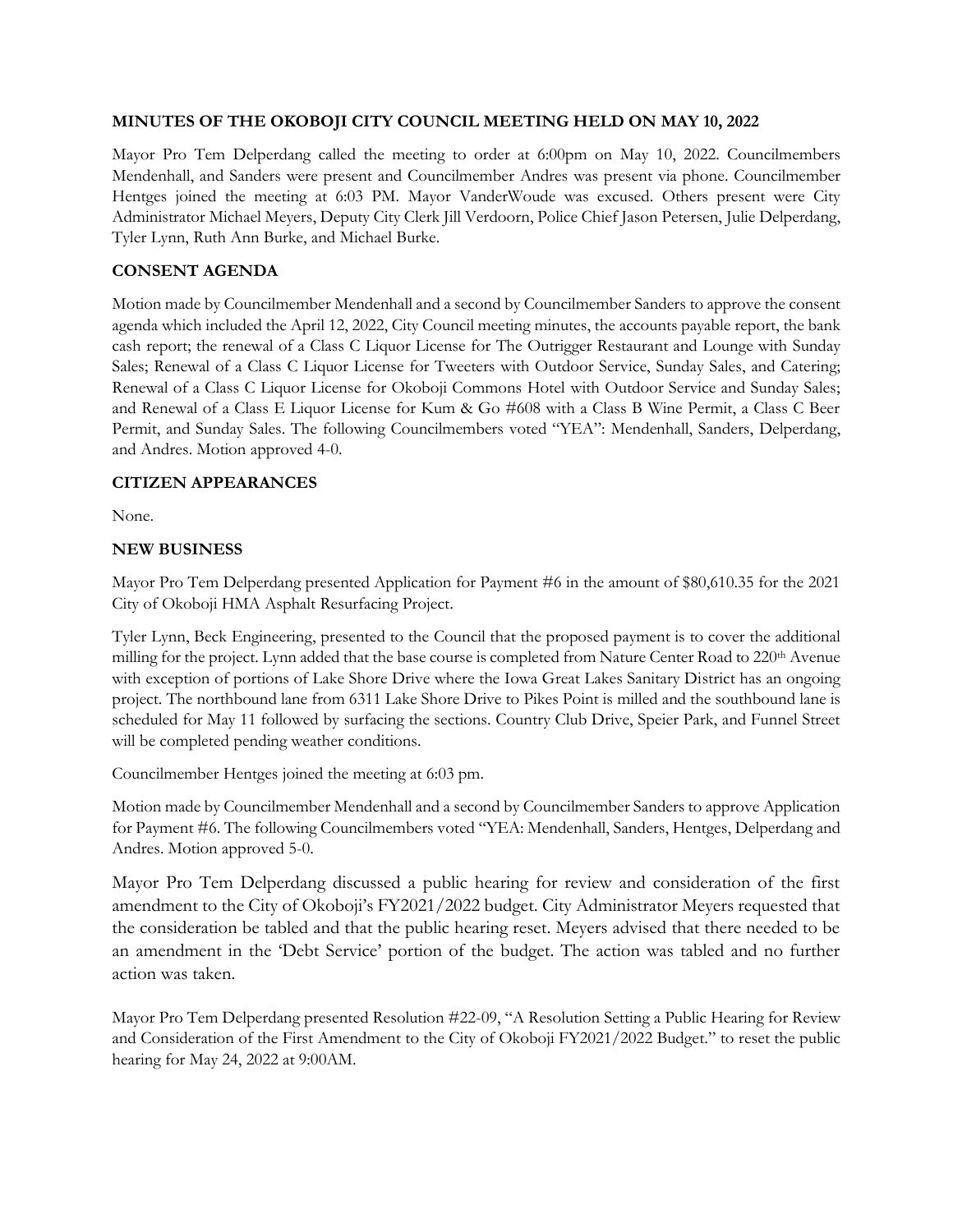### **MINUTES OF THE OKOBOJI CITY COUNCIL MEETING HELD ON MAY 10, 2022**

Mayor Pro Tem Delperdang called the meeting to order at 6:00pm on May 10, 2022. Councilmembers Mendenhall, and Sanders were present and Councilmember Andres was present via phone. Councilmember Hentges joined the meeting at 6:03 PM. Mayor VanderWoude was excused. Others present were City Administrator Michael Meyers, Deputy City Clerk Jill Verdoorn, Police Chief Jason Petersen, Julie Delperdang, Tyler Lynn, Ruth Ann Burke, and Michael Burke.

## **CONSENT AGENDA**

Motion made by Councilmember Mendenhall and a second by Councilmember Sanders to approve the consent agenda which included the April 12, 2022, City Council meeting minutes, the accounts payable report, the bank cash report; the renewal of a Class C Liquor License for The Outrigger Restaurant and Lounge with Sunday Sales; Renewal of a Class C Liquor License for Tweeters with Outdoor Service, Sunday Sales, and Catering; Renewal of a Class C Liquor License for Okoboji Commons Hotel with Outdoor Service and Sunday Sales; and Renewal of a Class E Liquor License for Kum & Go #608 with a Class B Wine Permit, a Class C Beer Permit, and Sunday Sales. The following Councilmembers voted "YEA": Mendenhall, Sanders, Delperdang, and Andres. Motion approved 4-0.

### **CITIZEN APPEARANCES**

None.

### **NEW BUSINESS**

Mayor Pro Tem Delperdang presented Application for Payment #6 in the amount of \$80,610.35 for the 2021 City of Okoboji HMA Asphalt Resurfacing Project.

Tyler Lynn, Beck Engineering, presented to the Council that the proposed payment is to cover the additional milling for the project. Lynn added that the base course is completed from Nature Center Road to 220<sup>th</sup> Avenue with exception of portions of Lake Shore Drive where the Iowa Great Lakes Sanitary District has an ongoing project. The northbound lane from 6311 Lake Shore Drive to Pikes Point is milled and the southbound lane is scheduled for May 11 followed by surfacing the sections. Country Club Drive, Speier Park, and Funnel Street will be completed pending weather conditions.

Councilmember Hentges joined the meeting at 6:03 pm.

Motion made by Councilmember Mendenhall and a second by Councilmember Sanders to approve Application for Payment #6. The following Councilmembers voted "YEA: Mendenhall, Sanders, Hentges, Delperdang and Andres. Motion approved 5-0.

Mayor Pro Tem Delperdang discussed a public hearing for review and consideration of the first amendment to the City of Okoboji's FY2021/2022 budget. City Administrator Meyers requested that the consideration be tabled and that the public hearing reset. Meyers advised that there needed to be an amendment in the 'Debt Service' portion of the budget. The action was tabled and no further action was taken.

Mayor Pro Tem Delperdang presented Resolution #22-09, "A Resolution Setting a Public Hearing for Review and Consideration of the First Amendment to the City of Okoboji FY2021/2022 Budget." to reset the public hearing for May 24, 2022 at 9:00AM.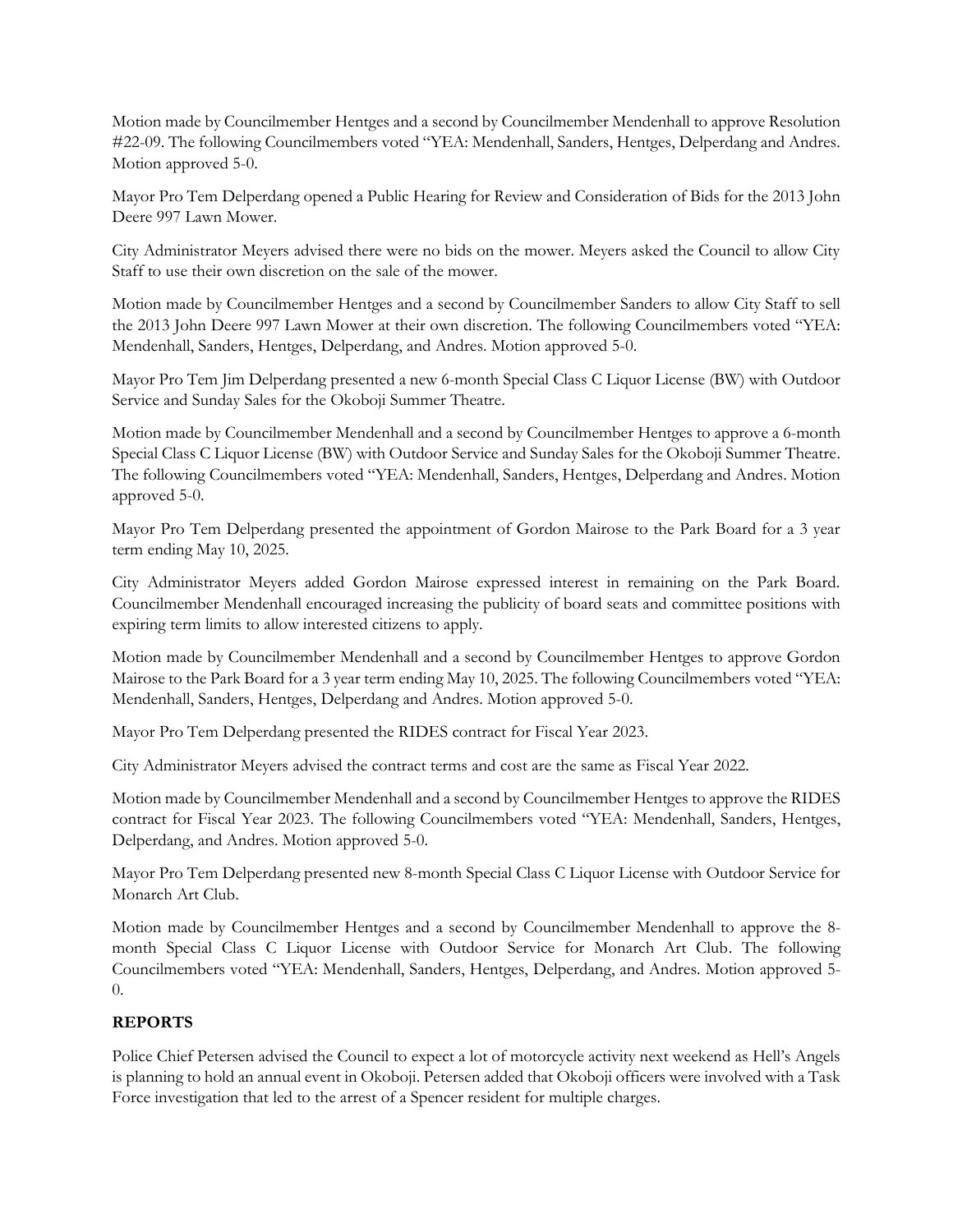Motion made by Councilmember Hentges and a second by Councilmember Mendenhall to approve Resolution #22-09. The following Councilmembers voted "YEA: Mendenhall, Sanders, Hentges, Delperdang and Andres. Motion approved 5-0.

Mayor Pro Tem Delperdang opened a Public Hearing for Review and Consideration of Bids for the 2013 John Deere 997 Lawn Mower.

City Administrator Meyers advised there were no bids on the mower. Meyers asked the Council to allow City Staff to use their own discretion on the sale of the mower.

Motion made by Councilmember Hentges and a second by Councilmember Sanders to allow City Staff to sell the 2013 John Deere 997 Lawn Mower at their own discretion. The following Councilmembers voted "YEA: Mendenhall, Sanders, Hentges, Delperdang, and Andres. Motion approved 5-0.

Mayor Pro Tem Jim Delperdang presented a new 6-month Special Class C Liquor License (BW) with Outdoor Service and Sunday Sales for the Okoboji Summer Theatre.

Motion made by Councilmember Mendenhall and a second by Councilmember Hentges to approve a 6-month Special Class C Liquor License (BW) with Outdoor Service and Sunday Sales for the Okoboji Summer Theatre. The following Councilmembers voted "YEA: Mendenhall, Sanders, Hentges, Delperdang and Andres. Motion approved 5-0.

Mayor Pro Tem Delperdang presented the appointment of Gordon Mairose to the Park Board for a 3 year term ending May 10, 2025.

City Administrator Meyers added Gordon Mairose expressed interest in remaining on the Park Board. Councilmember Mendenhall encouraged increasing the publicity of board seats and committee positions with expiring term limits to allow interested citizens to apply.

Motion made by Councilmember Mendenhall and a second by Councilmember Hentges to approve Gordon Mairose to the Park Board for a 3 year term ending May 10, 2025. The following Councilmembers voted "YEA: Mendenhall, Sanders, Hentges, Delperdang and Andres. Motion approved 5-0.

Mayor Pro Tem Delperdang presented the RIDES contract for Fiscal Year 2023.

City Administrator Meyers advised the contract terms and cost are the same as Fiscal Year 2022.

Motion made by Councilmember Mendenhall and a second by Councilmember Hentges to approve the RIDES contract for Fiscal Year 2023. The following Councilmembers voted "YEA: Mendenhall, Sanders, Hentges, Delperdang, and Andres. Motion approved 5-0.

Mayor Pro Tem Delperdang presented new 8-month Special Class C Liquor License with Outdoor Service for Monarch Art Club.

Motion made by Councilmember Hentges and a second by Councilmember Mendenhall to approve the 8 month Special Class C Liquor License with Outdoor Service for Monarch Art Club. The following Councilmembers voted "YEA: Mendenhall, Sanders, Hentges, Delperdang, and Andres. Motion approved 5- 0.

# **REPORTS**

Police Chief Petersen advised the Council to expect a lot of motorcycle activity next weekend as Hell's Angels is planning to hold an annual event in Okoboji. Petersen added that Okoboji officers were involved with a Task Force investigation that led to the arrest of a Spencer resident for multiple charges.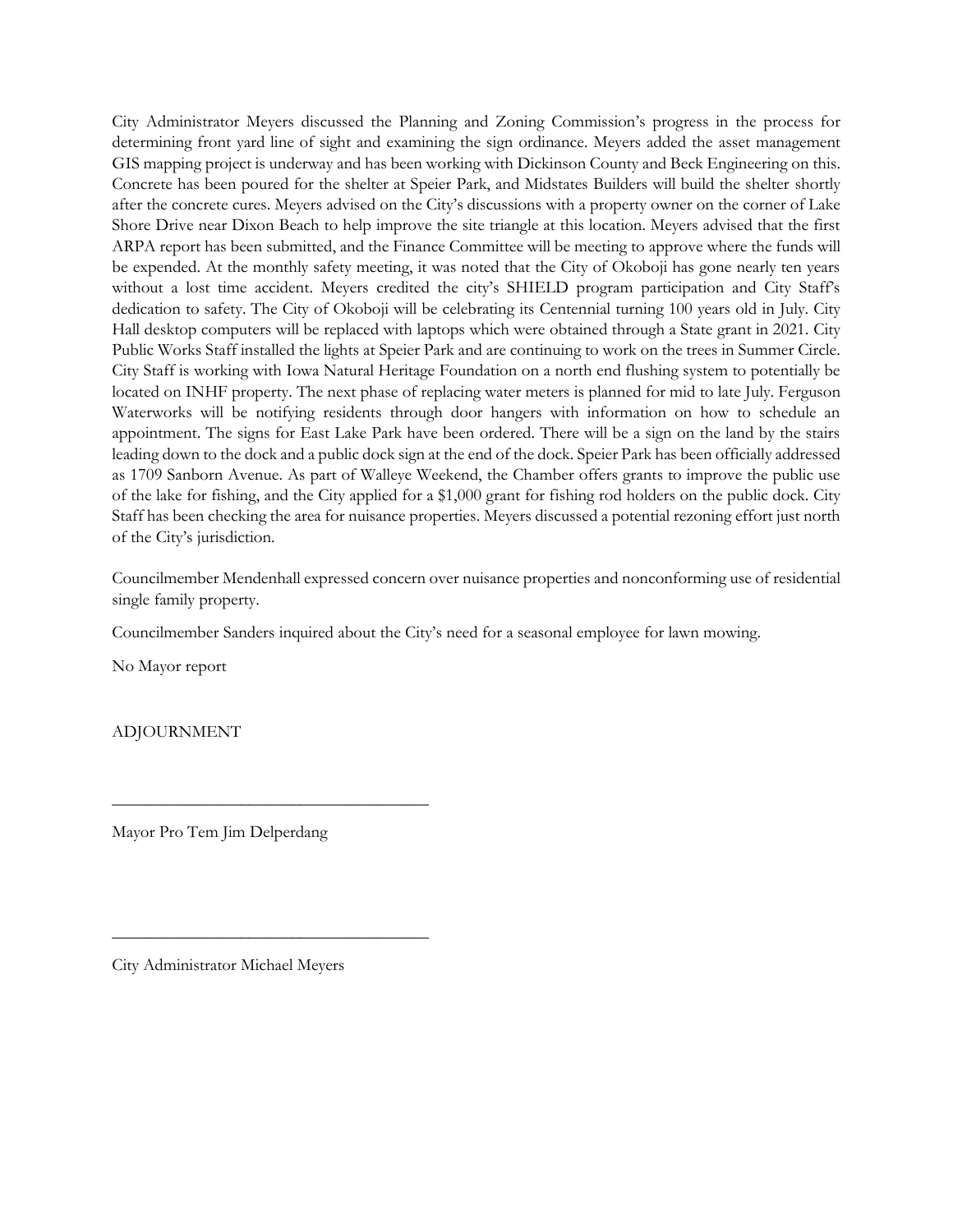City Administrator Meyers discussed the Planning and Zoning Commission's progress in the process for determining front yard line of sight and examining the sign ordinance. Meyers added the asset management GIS mapping project is underway and has been working with Dickinson County and Beck Engineering on this. Concrete has been poured for the shelter at Speier Park, and Midstates Builders will build the shelter shortly after the concrete cures. Meyers advised on the City's discussions with a property owner on the corner of Lake Shore Drive near Dixon Beach to help improve the site triangle at this location. Meyers advised that the first ARPA report has been submitted, and the Finance Committee will be meeting to approve where the funds will be expended. At the monthly safety meeting, it was noted that the City of Okoboji has gone nearly ten years without a lost time accident. Meyers credited the city's SHIELD program participation and City Staff's dedication to safety. The City of Okoboji will be celebrating its Centennial turning 100 years old in July. City Hall desktop computers will be replaced with laptops which were obtained through a State grant in 2021. City Public Works Staff installed the lights at Speier Park and are continuing to work on the trees in Summer Circle. City Staff is working with Iowa Natural Heritage Foundation on a north end flushing system to potentially be located on INHF property. The next phase of replacing water meters is planned for mid to late July. Ferguson Waterworks will be notifying residents through door hangers with information on how to schedule an appointment. The signs for East Lake Park have been ordered. There will be a sign on the land by the stairs leading down to the dock and a public dock sign at the end of the dock. Speier Park has been officially addressed as 1709 Sanborn Avenue. As part of Walleye Weekend, the Chamber offers grants to improve the public use of the lake for fishing, and the City applied for a \$1,000 grant for fishing rod holders on the public dock. City Staff has been checking the area for nuisance properties. Meyers discussed a potential rezoning effort just north of the City's jurisdiction.

Councilmember Mendenhall expressed concern over nuisance properties and nonconforming use of residential single family property.

Councilmember Sanders inquired about the City's need for a seasonal employee for lawn mowing.

No Mayor report

ADJOURNMENT

Mayor Pro Tem Jim Delperdang

\_\_\_\_\_\_\_\_\_\_\_\_\_\_\_\_\_\_\_\_\_\_\_\_\_\_\_\_\_\_\_\_\_\_\_\_\_

\_\_\_\_\_\_\_\_\_\_\_\_\_\_\_\_\_\_\_\_\_\_\_\_\_\_\_\_\_\_\_\_\_\_\_\_\_

City Administrator Michael Meyers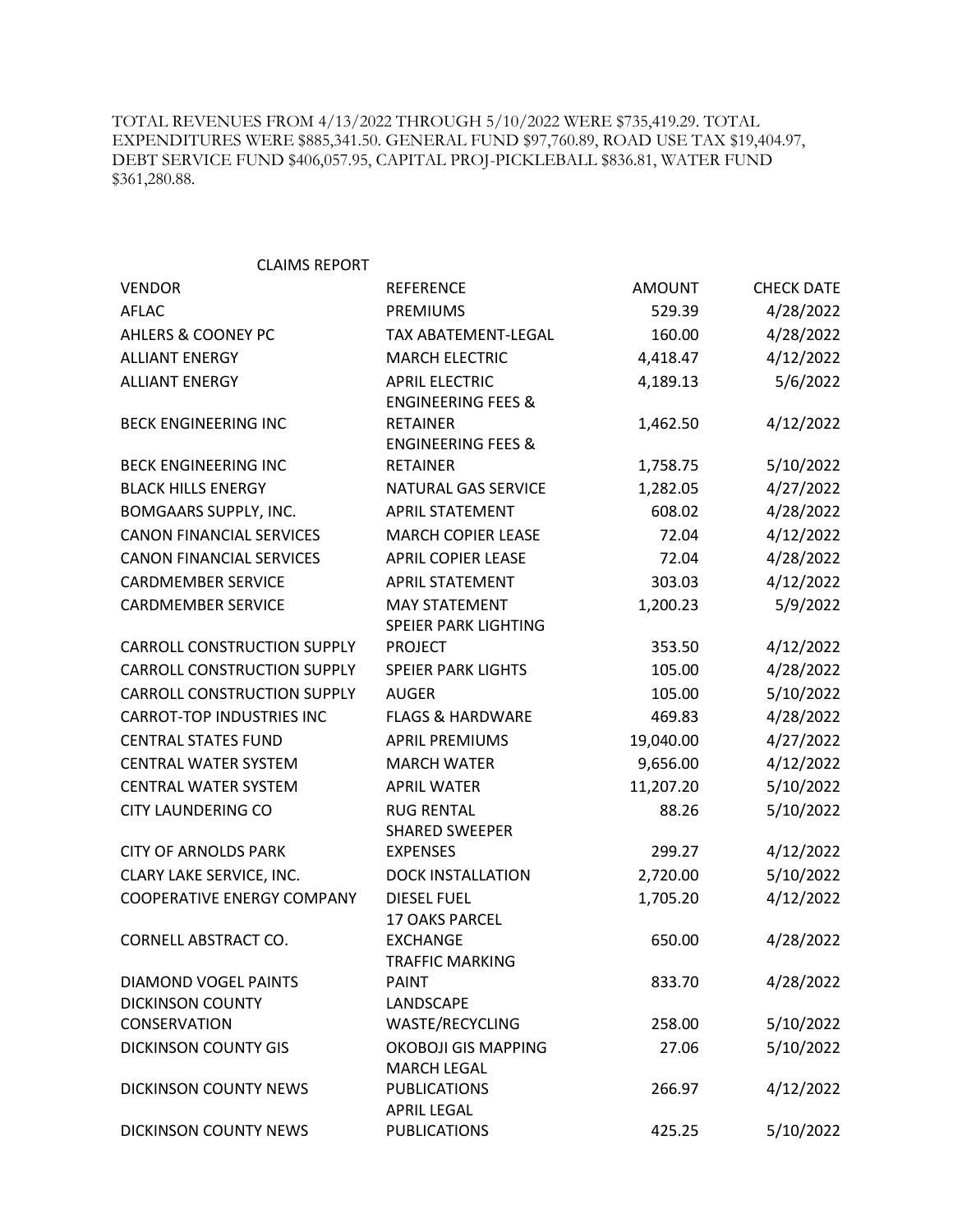TOTAL REVENUES FROM 4/13/2022 THROUGH 5/10/2022 WERE \$735,419.29. TOTAL EXPENDITURES WERE \$885,341.50. GENERAL FUND \$97,760.89, ROAD USE TAX \$19,404.97, DEBT SERVICE FUND \$406,057.95, CAPITAL PROJ-PICKLEBALL \$836.81, WATER FUND \$361,280.88.

| <b>CLAIMS REPORT</b>                           |                               |               |                   |
|------------------------------------------------|-------------------------------|---------------|-------------------|
| <b>VENDOR</b>                                  | <b>REFERENCE</b>              | <b>AMOUNT</b> | <b>CHECK DATE</b> |
| <b>AFLAC</b>                                   | <b>PREMIUMS</b>               | 529.39        | 4/28/2022         |
| AHLERS & COONEY PC                             | TAX ABATEMENT-LEGAL           | 160.00        | 4/28/2022         |
| <b>ALLIANT ENERGY</b>                          | <b>MARCH ELECTRIC</b>         | 4,418.47      | 4/12/2022         |
| <b>ALLIANT ENERGY</b>                          | <b>APRIL ELECTRIC</b>         | 4,189.13      | 5/6/2022          |
|                                                | <b>ENGINEERING FEES &amp;</b> |               |                   |
| <b>BECK ENGINEERING INC</b>                    | <b>RETAINER</b>               | 1,462.50      | 4/12/2022         |
|                                                | <b>ENGINEERING FEES &amp;</b> |               |                   |
| <b>BECK ENGINEERING INC</b>                    | <b>RETAINER</b>               | 1,758.75      | 5/10/2022         |
| <b>BLACK HILLS ENERGY</b>                      | NATURAL GAS SERVICE           | 1,282.05      | 4/27/2022         |
| <b>BOMGAARS SUPPLY, INC.</b>                   | <b>APRIL STATEMENT</b>        | 608.02        | 4/28/2022         |
| <b>CANON FINANCIAL SERVICES</b>                | <b>MARCH COPIER LEASE</b>     | 72.04         | 4/12/2022         |
| <b>CANON FINANCIAL SERVICES</b>                | <b>APRIL COPIER LEASE</b>     | 72.04         | 4/28/2022         |
| <b>CARDMEMBER SERVICE</b>                      | <b>APRIL STATEMENT</b>        | 303.03        | 4/12/2022         |
| <b>CARDMEMBER SERVICE</b>                      | <b>MAY STATEMENT</b>          | 1,200.23      | 5/9/2022          |
|                                                | SPEIER PARK LIGHTING          |               |                   |
| <b>CARROLL CONSTRUCTION SUPPLY</b>             | <b>PROJECT</b>                | 353.50        | 4/12/2022         |
| <b>CARROLL CONSTRUCTION SUPPLY</b>             | <b>SPEIER PARK LIGHTS</b>     | 105.00        | 4/28/2022         |
| <b>CARROLL CONSTRUCTION SUPPLY</b>             | <b>AUGER</b>                  | 105.00        | 5/10/2022         |
| <b>CARROT-TOP INDUSTRIES INC</b>               | <b>FLAGS &amp; HARDWARE</b>   | 469.83        | 4/28/2022         |
| <b>CENTRAL STATES FUND</b>                     | <b>APRIL PREMIUMS</b>         | 19,040.00     | 4/27/2022         |
| <b>CENTRAL WATER SYSTEM</b>                    | <b>MARCH WATER</b>            | 9,656.00      | 4/12/2022         |
| <b>CENTRAL WATER SYSTEM</b>                    | <b>APRIL WATER</b>            | 11,207.20     | 5/10/2022         |
| <b>CITY LAUNDERING CO</b>                      | <b>RUG RENTAL</b>             | 88.26         | 5/10/2022         |
|                                                | <b>SHARED SWEEPER</b>         |               |                   |
| <b>CITY OF ARNOLDS PARK</b>                    | <b>EXPENSES</b>               | 299.27        | 4/12/2022         |
| CLARY LAKE SERVICE, INC.                       | <b>DOCK INSTALLATION</b>      | 2,720.00      | 5/10/2022         |
| <b>COOPERATIVE ENERGY COMPANY</b>              | <b>DIESEL FUEL</b>            | 1,705.20      | 4/12/2022         |
|                                                | <b>17 OAKS PARCEL</b>         |               |                   |
| CORNELL ABSTRACT CO.                           | <b>EXCHANGE</b>               | 650.00        | 4/28/2022         |
|                                                | TRAFFIC MARKING               |               |                   |
| DIAMOND VOGEL PAINTS                           | <b>PAINT</b>                  | 833.70        | 4/28/2022         |
| <b>DICKINSON COUNTY</b><br><b>CONSERVATION</b> | LANDSCAPE<br>WASTE/RECYCLING  | 258.00        | 5/10/2022         |
| <b>DICKINSON COUNTY GIS</b>                    | <b>OKOBOJI GIS MAPPING</b>    | 27.06         | 5/10/2022         |
|                                                | <b>MARCH LEGAL</b>            |               |                   |
| <b>DICKINSON COUNTY NEWS</b>                   | <b>PUBLICATIONS</b>           | 266.97        | 4/12/2022         |
|                                                | <b>APRIL LEGAL</b>            |               |                   |
| <b>DICKINSON COUNTY NEWS</b>                   | <b>PUBLICATIONS</b>           | 425.25        | 5/10/2022         |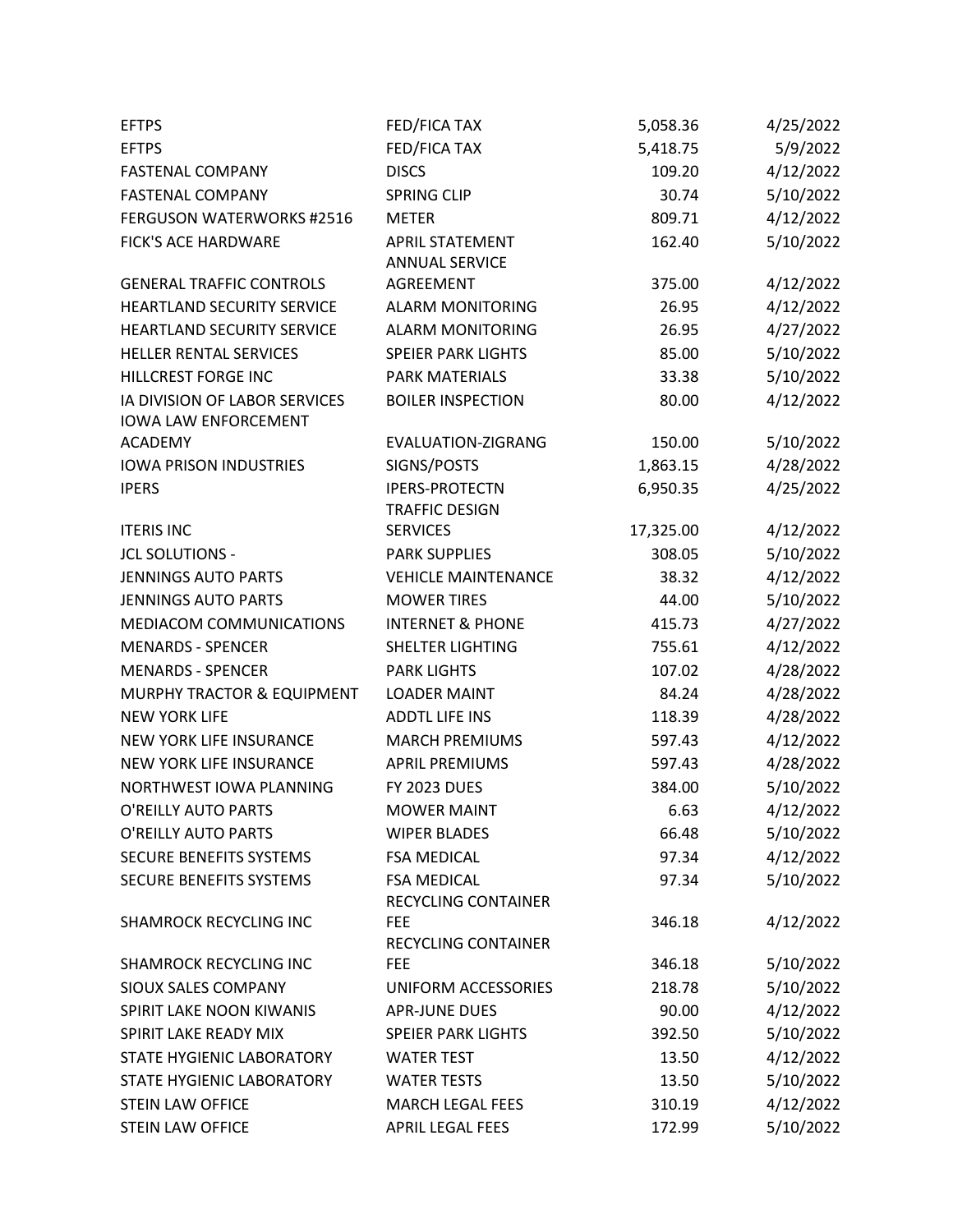| <b>EFTPS</b>                                                 | FED/FICA TAX                                    | 5,058.36         | 4/25/2022              |
|--------------------------------------------------------------|-------------------------------------------------|------------------|------------------------|
| <b>EFTPS</b>                                                 | FED/FICA TAX                                    | 5,418.75         | 5/9/2022               |
| <b>FASTENAL COMPANY</b>                                      | <b>DISCS</b>                                    | 109.20           | 4/12/2022              |
| <b>FASTENAL COMPANY</b>                                      | <b>SPRING CLIP</b>                              | 30.74            | 5/10/2022              |
| <b>FERGUSON WATERWORKS #2516</b>                             | <b>METER</b>                                    | 809.71           | 4/12/2022              |
| FICK'S ACE HARDWARE                                          | <b>APRIL STATEMENT</b><br><b>ANNUAL SERVICE</b> | 162.40           | 5/10/2022              |
| <b>GENERAL TRAFFIC CONTROLS</b>                              | <b>AGREEMENT</b>                                | 375.00           | 4/12/2022              |
| HEARTLAND SECURITY SERVICE                                   | <b>ALARM MONITORING</b>                         | 26.95            | 4/12/2022              |
| HEARTLAND SECURITY SERVICE                                   | <b>ALARM MONITORING</b>                         | 26.95            | 4/27/2022              |
| HELLER RENTAL SERVICES                                       | <b>SPEIER PARK LIGHTS</b>                       | 85.00            | 5/10/2022              |
| HILLCREST FORGE INC                                          | <b>PARK MATERIALS</b>                           | 33.38            | 5/10/2022              |
| IA DIVISION OF LABOR SERVICES<br><b>IOWA LAW ENFORCEMENT</b> | <b>BOILER INSPECTION</b>                        | 80.00            | 4/12/2022              |
| <b>ACADEMY</b>                                               | EVALUATION-ZIGRANG                              | 150.00           | 5/10/2022              |
| <b>IOWA PRISON INDUSTRIES</b>                                | SIGNS/POSTS                                     | 1,863.15         | 4/28/2022              |
| <b>IPERS</b>                                                 | <b>IPERS-PROTECTN</b>                           | 6,950.35         | 4/25/2022              |
|                                                              | <b>TRAFFIC DESIGN</b>                           |                  |                        |
| <b>ITERIS INC</b>                                            | <b>SERVICES</b>                                 | 17,325.00        | 4/12/2022              |
| <b>JCL SOLUTIONS -</b>                                       | <b>PARK SUPPLIES</b>                            | 308.05           | 5/10/2022              |
| <b>JENNINGS AUTO PARTS</b>                                   | <b>VEHICLE MAINTENANCE</b>                      | 38.32            | 4/12/2022              |
| <b>JENNINGS AUTO PARTS</b>                                   | <b>MOWER TIRES</b>                              | 44.00            | 5/10/2022              |
| MEDIACOM COMMUNICATIONS                                      | <b>INTERNET &amp; PHONE</b>                     | 415.73           | 4/27/2022              |
| <b>MENARDS - SPENCER</b>                                     | <b>SHELTER LIGHTING</b>                         | 755.61           | 4/12/2022              |
| <b>MENARDS - SPENCER</b>                                     | <b>PARK LIGHTS</b>                              | 107.02           | 4/28/2022              |
| MURPHY TRACTOR & EQUIPMENT                                   | <b>LOADER MAINT</b>                             | 84.24            | 4/28/2022              |
| <b>NEW YORK LIFE</b>                                         | <b>ADDTL LIFE INS</b>                           | 118.39           | 4/28/2022              |
| NEW YORK LIFE INSURANCE                                      | <b>MARCH PREMIUMS</b>                           | 597.43           | 4/12/2022              |
| NEW YORK LIFE INSURANCE                                      | <b>APRIL PREMIUMS</b>                           | 597.43           | 4/28/2022              |
| NORTHWEST IOWA PLANNING                                      | <b>FY 2023 DUES</b>                             | 384.00           | 5/10/2022              |
| O'REILLY AUTO PARTS                                          | <b>MOWER MAINT</b>                              | 6.63             | 4/12/2022              |
| O'REILLY AUTO PARTS                                          | <b>WIPER BLADES</b>                             | 66.48            | 5/10/2022              |
| <b>SECURE BENEFITS SYSTEMS</b>                               | <b>FSA MEDICAL</b>                              | 97.34            | 4/12/2022              |
| SECURE BENEFITS SYSTEMS                                      | <b>FSA MEDICAL</b>                              | 97.34            | 5/10/2022              |
|                                                              | RECYCLING CONTAINER                             |                  |                        |
| <b>SHAMROCK RECYCLING INC</b>                                | <b>FEE</b>                                      | 346.18           | 4/12/2022              |
|                                                              | RECYCLING CONTAINER                             |                  |                        |
| <b>SHAMROCK RECYCLING INC</b><br><b>SIOUX SALES COMPANY</b>  | <b>FEE</b>                                      | 346.18<br>218.78 | 5/10/2022              |
| SPIRIT LAKE NOON KIWANIS                                     | UNIFORM ACCESSORIES<br><b>APR-JUNE DUES</b>     |                  | 5/10/2022              |
| SPIRIT LAKE READY MIX                                        | <b>SPEIER PARK LIGHTS</b>                       | 90.00            | 4/12/2022              |
|                                                              |                                                 | 392.50           | 5/10/2022              |
| STATE HYGIENIC LABORATORY<br>STATE HYGIENIC LABORATORY       | <b>WATER TEST</b><br><b>WATER TESTS</b>         | 13.50            | 4/12/2022<br>5/10/2022 |
| <b>STEIN LAW OFFICE</b>                                      | <b>MARCH LEGAL FEES</b>                         | 13.50            |                        |
|                                                              | APRIL LEGAL FEES                                | 310.19           | 4/12/2022<br>5/10/2022 |
| <b>STEIN LAW OFFICE</b>                                      |                                                 | 172.99           |                        |